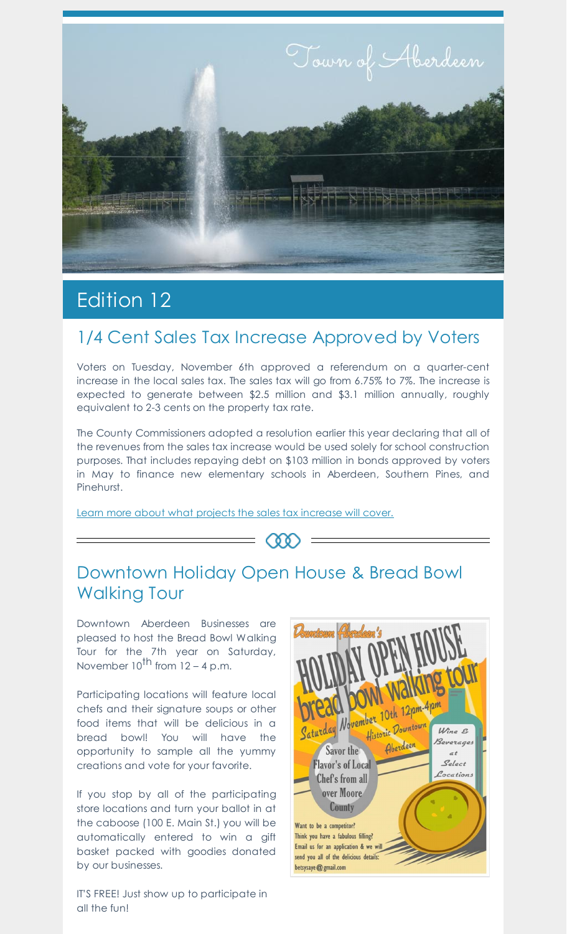

# Edition 12

## 1/4 Cent Sales Tax Increase Approved by Voters

Voters on Tuesday, November 6th approved a referendum on a quarter-cent increase in the local sales tax. The sales tax will go from 6.75% to 7%. The increase is expected to generate between \$2.5 million and \$3.1 million annually, roughly equivalent to 2-3 cents on the property tax rate.

The County Commissioners adopted a resolution earlier this year declaring that all of the revenues from the sales tax increase would be used solely for school construction purposes. That includes repaying debt on \$103 million in bonds approved by voters in May to finance new elementary schools in Aberdeen, Southern Pines, and Pinehurst.

Learn more about what projects the sales tax [increase](http://www.thepilot.com/news/county-officials-grateful-for-sales-tax-approval/article_125594f0-e381-11e8-abd2-f33ec960656b.html) will cover.

### $=$   $\infty$   $=$

## Downtown Holiday Open House & Bread Bowl Walking Tour

Downtown Aberdeen Businesses are pleased to host the Bread Bowl Walking Tour for the 7th year on Saturday, November  $10^{th}$  from  $12 - 4$  p.m.

Participating locations will feature local chefs and their signature soups or other food items that will be delicious in a bread bowl! You will have the opportunity to sample all the yummy creations and vote for your favorite.

If you stop by all of the participating store locations and turn your ballot in at the caboose (100 E. Main St.) you will be automatically entered to win a gift basket packed with goodies donated by our businesses.

IT'S FREE! Just show up to participate in all the fun!

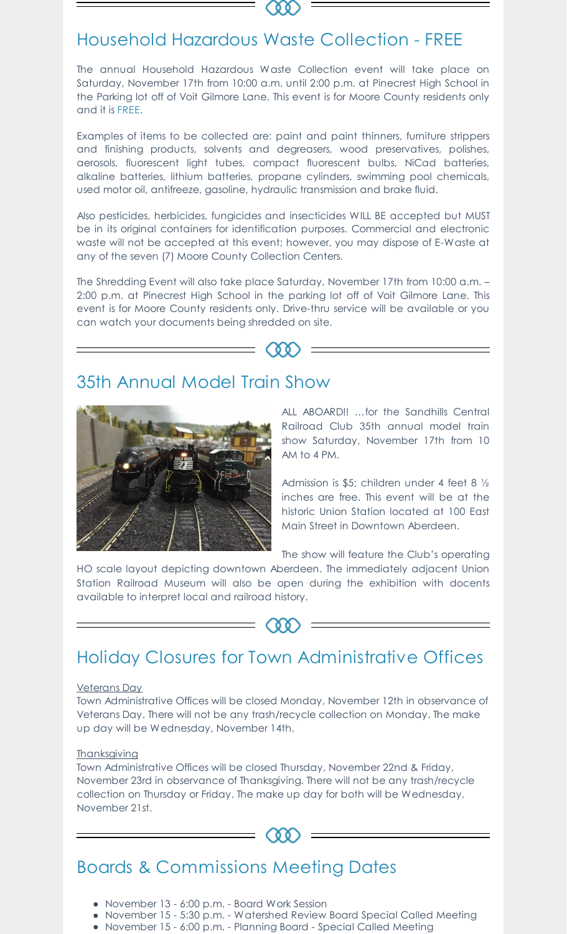# Household Hazardous Waste Collection - FREE

The annual Household Hazardous Waste Collection event will take place on Saturday, November 17th from 10:00 a.m. until 2:00 p.m. at Pinecrest High School in the Parking lot off of Voit Gilmore Lane. This event is for Moore County residents only and it is FREE.

Examples of items to be collected are: paint and paint thinners, furniture strippers and finishing products, solvents and degreasers, wood preservatives, polishes, aerosols, fluorescent light tubes, compact fluorescent bulbs, NiCad batteries, alkaline batteries, lithium batteries, propane cylinders, swimming pool chemicals, used motor oil, antifreeze, gasoline, hydraulic transmission and brake fluid.

Also pesticides, herbicides, fungicides and insecticides WILL BE accepted but MUST be in its original containers for identification purposes. Commercial and electronic waste will not be accepted at this event; however, you may dispose of E-Waste at any of the seven (7) Moore County Collection Centers.

The Shredding Event will also take place Saturday, November 17th from 10:00 a.m. – 2:00 p.m. at Pinecrest High School in the parking lot off of Voit Gilmore Lane. This event is for Moore County residents only. Drive-thru service will be available or you can watch your documents being shredded on site.



### 35th Annual Model Train Show



ALL ABOARD!! …for the Sandhills Central Railroad Club 35th annual model train show Saturday, November 17th from 10 AM to 4 PM.

Admission is \$5; children under 4 feet 8 ½ inches are free. This event will be at the historic Union Station located at 100 East Main Street in Downtown Aberdeen.

The show will feature the Club's operating

HO scale layout depicting downtown Aberdeen. The immediately adjacent Union Station Railroad Museum will also be open during the exhibition with docents available to interpret local and railroad history.



## Holiday Closures for Town Administrative Offices

#### Veterans Day

Town Administrative Offices will be closed Monday, November 12th in observance of Veterans Day. There will not be any trash/recycle collection on Monday. The make up day will be Wednesday, November 14th.

#### **Thanksgiving**

Town Administrative Offices will be closed Thursday, November 22nd & Friday, November 23rd in observance of Thanksgiving. There will not be any trash/recycle collection on Thursday or Friday. The make up day for both will be Wednesday, November 21st.



## Boards & Commissions Meeting Dates

- November 13 6:00 p.m. Board Work Session
- November 15 5:30 p.m. Watershed Review Board Special Called Meeting
- November 15 6:00 p.m. Planning Board Special Called Meeting